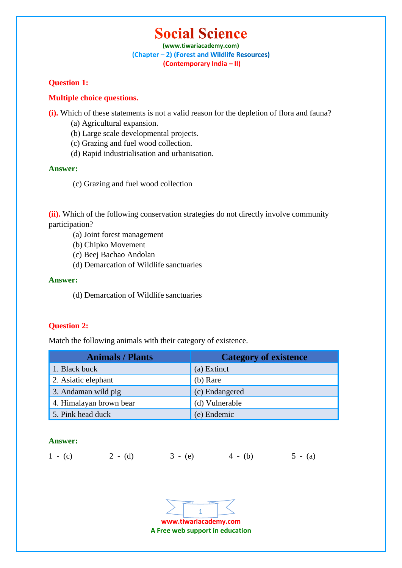# **Social Science**

**(www.tiwariacademy.com)** (Chapter - 2) (Forest and Wildlife Resources) **(Contemporary India – II)**

## **Question 1:**

## **Multiple choice questions.**

**(i).** Which of these statements is not a valid reason for the depletion of flora and fauna?

- (a) Agricultural expansion.
- (b) Large scale developmental projects.
- (c) Grazing and fuel wood collection.
- (d) Rapid industrialisation and urbanisation.

## **Answer:**

(c) Grazing and fuel wood collection

**(ii).** Which of the following conservation strategies do not directly involve community participation?

- (a) Joint forest management
- (b) Chipko Movement
- (c) Beej Bachao Andolan
- (d) Demarcation of Wildlife sanctuaries

#### **Answer:**

(d) Demarcation of Wildlife sanctuaries

## **Question 2:**

Match the following animals with their category of existence.

| <b>Animals / Plants</b> | <b>Category of existence</b> |
|-------------------------|------------------------------|
| 1. Black buck           | (a) Extinct                  |
| 2. Asiatic elephant     | $(b)$ Rare                   |
| 3. Andaman wild pig     | (c) Endangered               |
| 4. Himalayan brown bear | (d) Vulnerable               |
| 5. Pink head duck       | (e) Endemic                  |

## **Answer:**

1 - (c) 2 - (d) 3 - (e) 4 - (b) 5 - (a)

**www.tiwariacademy.com A Free web support in education** 1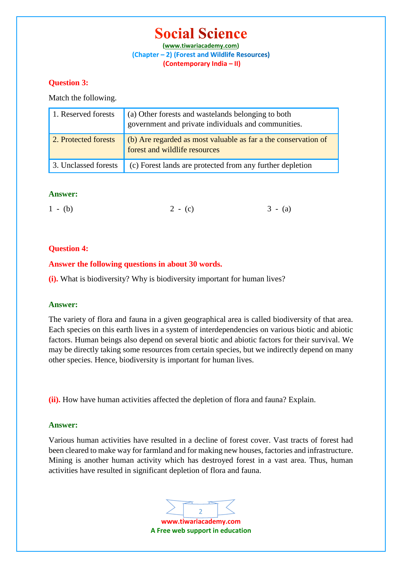## **Social Science**

**(www.tiwariacademy.com)** (Chapter - 2) (Forest and Wildlife Resources) **(Contemporary India – II)**

## **Question 3:**

Match the following.

| 1. Reserved forests  | (a) Other forests and wastelands belonging to both<br>government and private individuals and communities. |
|----------------------|-----------------------------------------------------------------------------------------------------------|
| 2. Protected forests | (b) Are regarded as most valuable as far a the conservation of<br>forest and wildlife resources           |
| 3. Unclassed forests | (c) Forest lands are protected from any further depletion                                                 |

## **Answer:**

| $1 - (b)$ | $2 - (c)$ | $3 - (a)$ |
|-----------|-----------|-----------|
|           |           |           |

## **Question 4:**

## **Answer the following questions in about 30 words.**

**(i).** What is biodiversity? Why is biodiversity important for human lives?

## **Answer:**

The variety of flora and fauna in a given geographical area is called biodiversity of that area. Each species on this earth lives in a system of interdependencies on various biotic and abiotic factors. Human beings also depend on several biotic and abiotic factors for their survival. We may be directly taking some resources from certain species, but we indirectly depend on many other species. Hence, biodiversity is important for human lives.

**(ii).** How have human activities affected the depletion of flora and fauna? Explain.

## **Answer:**

Various human activities have resulted in a decline of forest cover. Vast tracts of forest had been cleared to make way for farmland and for making new houses, factories and infrastructure. Mining is another human activity which has destroyed forest in a vast area. Thus, human activities have resulted in significant depletion of flora and fauna.